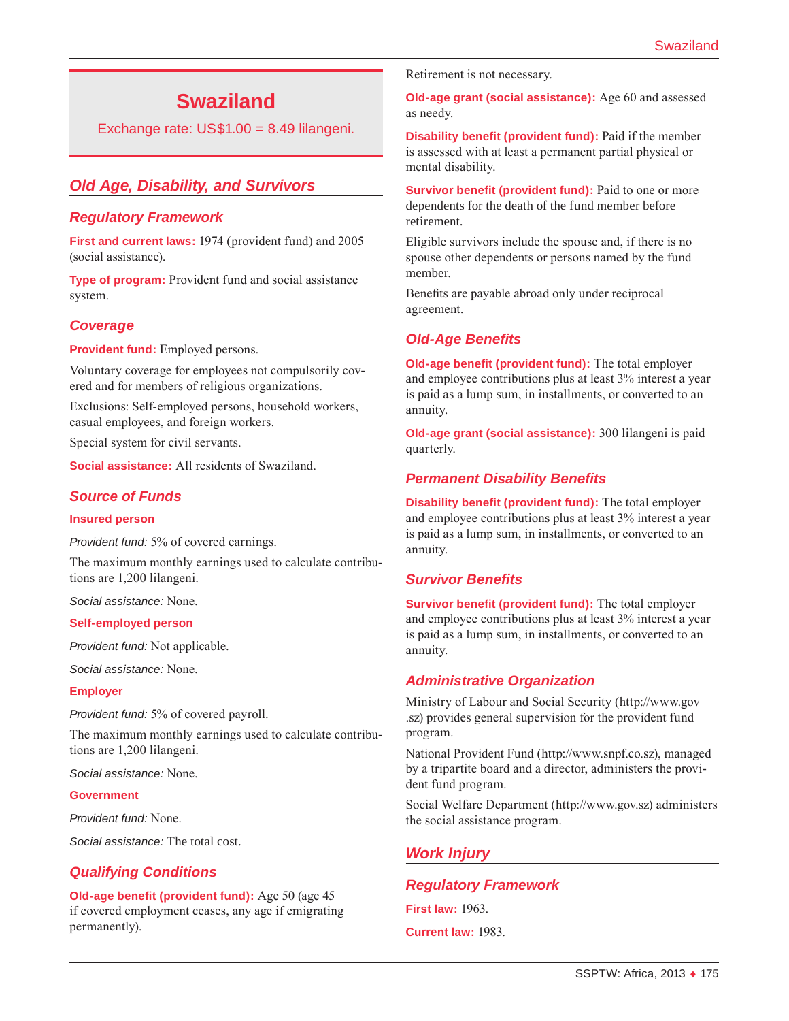# **Swaziland**

Exchange rate: US\$1.00 = 8.49 lilangeni.

# *Old Age, Disability, and Survivors*

#### *Regulatory Framework*

**First and current laws:** 1974 (provident fund) and 2005 (social assistance).

**Type of program:** Provident fund and social assistance system.

## *Coverage*

**Provident fund:** Employed persons.

Voluntary coverage for employees not compulsorily covered and for members of religious organizations.

Exclusions: Self-employed persons, household workers, casual employees, and foreign workers.

Special system for civil servants.

**Social assistance:** All residents of Swaziland.

## *Source of Funds*

#### **Insured person**

*Provident fund:* 5% of covered earnings.

The maximum monthly earnings used to calculate contributions are 1,200 lilangeni.

*Social assistance:* None.

#### **Self-employed person**

*Provident fund:* Not applicable.

*Social assistance:* None.

#### **Employer**

*Provident fund:* 5% of covered payroll.

The maximum monthly earnings used to calculate contributions are 1,200 lilangeni.

*Social assistance:* None.

#### **Government**

*Provident fund:* None.

*Social assistance:* The total cost.

#### *Qualifying Conditions*

**Old-age benefit (provident fund):** Age 50 (age 45 if covered employment ceases, any age if emigrating permanently).

Retirement is not necessary.

**Old-age grant (social assistance):** Age 60 and assessed as needy.

**Disability benefit (provident fund):** Paid if the member is assessed with at least a permanent partial physical or mental disability.

**Survivor benefit (provident fund):** Paid to one or more dependents for the death of the fund member before retirement.

Eligible survivors include the spouse and, if there is no spouse other dependents or persons named by the fund member.

Benefits are payable abroad only under reciprocal agreement.

## *Old-Age Benefits*

**Old-age benefit (provident fund):** The total employer and employee contributions plus at least 3% interest a year is paid as a lump sum, in installments, or converted to an annuity.

**Old-age grant (social assistance):** 300 lilangeni is paid quarterly.

## *Permanent Disability Benefits*

**Disability benefit (provident fund):** The total employer and employee contributions plus at least 3% interest a year is paid as a lump sum, in installments, or converted to an annuity.

#### *Survivor Benefits*

**Survivor benefit (provident fund):** The total employer and employee contributions plus at least 3% interest a year is paid as a lump sum, in installments, or converted to an annuity.

#### *Administrative Organization*

Ministry of Labour and Social Security ([http://www.gov](http://www.gov.sz) [.sz](http://www.gov.sz)) provides general supervision for the provident fund program.

National Provident Fund [\(http://www.snpf.co.sz](http://www.snpf.co.sz)), managed by a tripartite board and a director, administers the provident fund program.

Social Welfare Department [\(http://www.gov.sz\)](http://www.gov.sz) administers the social assistance program.

## *Work Injury*

## *Regulatory Framework*

**First law:** 1963. **Current law:** 1983.